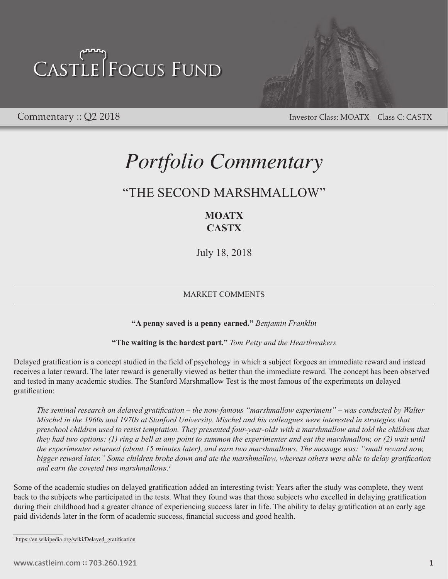

Commentary :: Q2 2018 Investor Class: MOATX Class C: CASTX

## *Portfolio Commentary*

## "THE SECOND MARSHMALLOW"

## **MOATX CASTX**

July 18, 2018

## MARKET COMMENTS

**"A penny saved is a penny earned."** *Benjamin Franklin*

## **"The waiting is the hardest part."** *Tom Petty and the Heartbreakers*

Delayed gratification is a concept studied in the field of psychology in which a subject forgoes an immediate reward and instead receives a later reward. The later reward is generally viewed as better than the immediate reward. The concept has been observed and tested in many academic studies. The Stanford Marshmallow Test is the most famous of the experiments on delayed gratification:

*The seminal research on delayed gratification – the now-famous "marshmallow experiment" – was conducted by Walter Mischel in the 1960s and 1970s at Stanford University. Mischel and his colleagues were interested in strategies that preschool children used to resist temptation. They presented four-year-olds with a marshmallow and told the children that they had two options: (1) ring a bell at any point to summon the experimenter and eat the marshmallow, or (2) wait until the experimenter returned (about 15 minutes later), and earn two marshmallows. The message was: "small reward now, bigger reward later." Some children broke down and ate the marshmallow, whereas others were able to delay gratification and earn the coveted two marshmallows.<sup>1</sup>*

Some of the academic studies on delayed gratification added an interesting twist: Years after the study was complete, they went back to the subjects who participated in the tests. What they found was that those subjects who excelled in delaying gratification during their childhood had a greater chance of experiencing success later in life. The ability to delay gratification at an early age paid dividends later in the form of academic success, financial success and good health.

<sup>&</sup>lt;sup>1</sup> [https://en.wikipedia.org/wiki/Delayed\\_gratification](https://en.wikipedia.org/wiki/Delayed_gratification)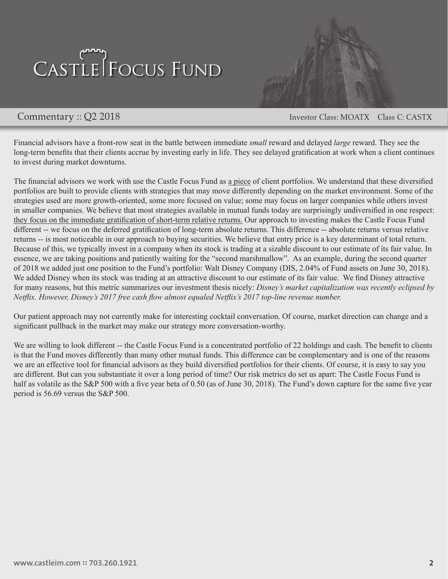

Commentary :: Q2 2018 Investor Class: MOATX Class C: CASTX

Financial advisors have a front-row seat in the battle between immediate *small* reward and delayed *large* reward. They see the long-term benefits that their clients accrue by investing early in life. They see delayed gratification at work when a client continues to invest during market downturns.

The financial advisors we work with use the Castle Focus Fund as a piece of client portfolios. We understand that these diversified portfolios are built to provide clients with strategies that may move differently depending on the market environment. Some of the strategies used are more growth-oriented, some more focused on value; some may focus on larger companies while others invest in smaller companies. We believe that most strategies available in mutual funds today are surprisingly undiversified in one respect: they focus on the immediate gratification of short-term relative returns. Our approach to investing makes the Castle Focus Fund different -- we focus on the deferred gratification of long-term absolute returns. This difference -- absolute returns versus relative returns -- is most noticeable in our approach to buying securities. We believe that entry price is a key determinant of total return. Because of this, we typically invest in a company when its stock is trading at a sizable discount to our estimate of its fair value. In essence, we are taking positions and patiently waiting for the "second marshmallow". As an example, during the second quarter of 2018 we added just one position to the Fund's portfolio: Walt Disney Company (DIS, 2.04% of Fund assets on June 30, 2018). We added Disney when its stock was trading at an attractive discount to our estimate of its fair value. We find Disney attractive for many reasons, but this metric summarizes our investment thesis nicely: *Disney's market capitalization was recently eclipsed by Netflix. However, Disney's 2017 free cash flow almost equaled Netflix's 2017 top-line revenue number.* 

Our patient approach may not currently make for interesting cocktail conversation. Of course, market direction can change and a significant pullback in the market may make our strategy more conversation-worthy.

We are willing to look different -- the Castle Focus Fund is a concentrated portfolio of 22 holdings and cash. The benefit to clients is that the Fund moves differently than many other mutual funds. This difference can be complementary and is one of the reasons we are an effective tool for financial advisors as they build diversified portfolios for their clients. Of course, it is easy to say you are different. But can you substantiate it over a long period of time? Our risk metrics do set us apart: The Castle Focus Fund is half as volatile as the S&P 500 with a five year beta of 0.50 (as of June 30, 2018). The Fund's down capture for the same five year period is 56.69 versus the S&P 500.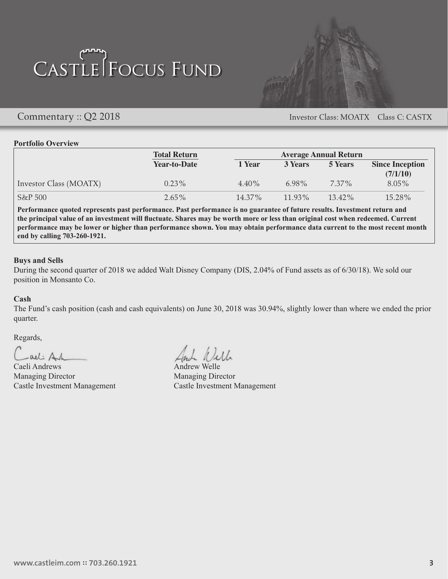

Commentary :: Q2 2018 Investor Class: MOATX Class C: CASTX

### **Portfolio Overview**

|                        | <b>Total Return</b><br><b>Average Annual Return</b> |           |           |                |                                    |
|------------------------|-----------------------------------------------------|-----------|-----------|----------------|------------------------------------|
|                        | <b>Year-to-Date</b>                                 | 1 Year    | 3 Years   | <b>5 Years</b> | <b>Since Inception</b><br>(7/1/10) |
| Investor Class (MOATX) | $0.23\%$                                            | $4.40\%$  | $6.98\%$  | 7.37%          | $8.05\%$                           |
| $S\&P500$              | $2.65\%$                                            | $14.37\%$ | $11.93\%$ | $13.42\%$      | 15.28%                             |

**Performance quoted represents past performance. Past performance is no guarantee of future results. Investment return and the principal value of an investment will fluctuate. Shares may be worth more or less than original cost when redeemed. Current performance may be lower or higher than performance shown. You may obtain performance data current to the most recent month end by calling 703-260-1921.**

### **Buys and Sells**

During the second quarter of 2018 we added Walt Disney Company (DIS, 2.04% of Fund assets as of 6/30/18). We sold our position in Monsanto Co.

### **Cash**

The Fund's cash position (cash and cash equivalents) on June 30, 2018 was 30.94%, slightly lower than where we ended the prior quarter.

Regards,

 $-ail:  $Al$$ 

Caeli Andrews Andrew Welle Managing Director Managing Director

And Will

Castle Investment Management Castle Investment Management